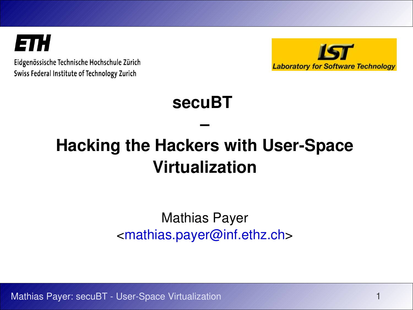ETH

Eidgenössische Technische Hochschule Zürich Swiss Federal Institute of Technology Zurich



## **secuBT**

# **Hacking the Hackers with User-Space Virtualization**

**–**

### Mathias Payer [<mathias.payer@inf.ethz.ch>](mailto:mathias.payer@inf.ethz.ch)

Mathias Payer: secuBT - User-Space Virtualization 11 April 11 April 11 April 11 April 11 April 11 April 11 April 11 April 11 April 11 April 11 April 11 April 11 April 11 April 11 April 11 April 11 April 11 April 11 April 1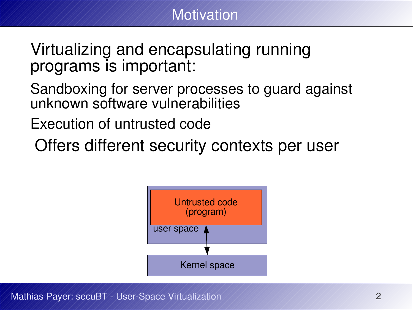

Virtualizing and encapsulating running programs is important:

Sandboxing for server processes to guard against unknown software vulnerabilities

Execution of untrusted code

Offers different security contexts per user



Mathias Payer: secuBT - User-Space Virtualization 2008 2014 2015 2016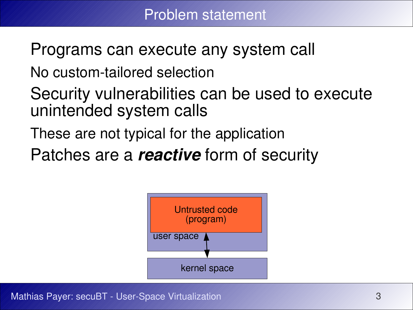Programs can execute any system call

No custom-tailored selection

- Security vulnerabilities can be used to execute unintended system calls
- These are not typical for the application
- Patches are a **reactive** form of security



Mathias Payer: secuBT - User-Space Virtualization 33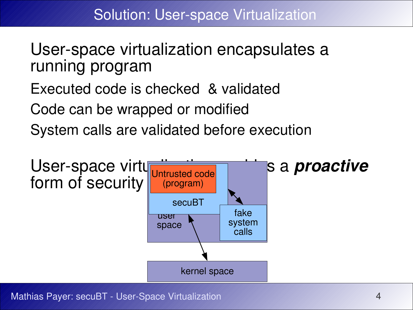User-space virtualization encapsulates a running program

Executed code is checked & validated

Code can be wrapped or modified

System calls are validated before execution



Mathias Payer: secuBT - User-Space Virtualization 44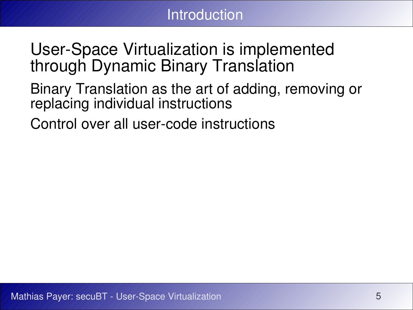

## User-Space Virtualization is implemented through Dynamic Binary Translation

- Binary Translation as the art of adding, removing or replacing individual instructions
- Control over all user-code instructions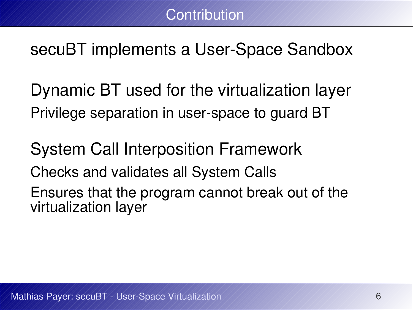# secuBT implements a User-Space Sandbox

Dynamic BT used for the virtualization layer Privilege separation in user-space to guard BT

System Call Interposition Framework

Checks and validates all System Calls

Ensures that the program cannot break out of the virtualization layer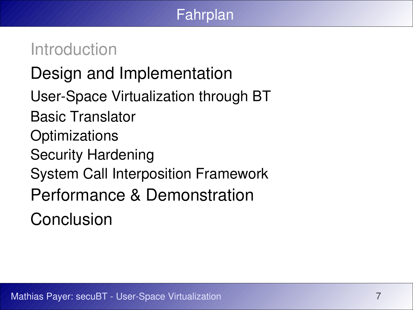### Fahrplan

## Introduction

# Design and Implementation

- User-Space Virtualization through BT
- Basic Translator
- **Optimizations**
- Security Hardening
- System Call Interposition Framework
- Performance & Demonstration
- Conclusion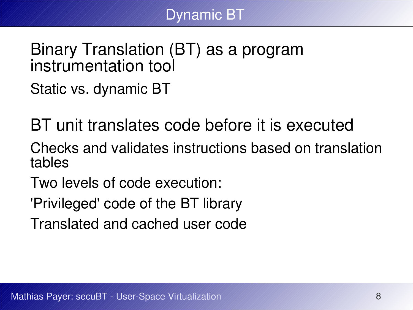

### Binary Translation (BT) as a program instrumentation tool

Static vs. dynamic BT

BT unit translates code before it is executed

Checks and validates instructions based on translation tables

Two levels of code execution:

'Privileged' code of the BT library

Translated and cached user code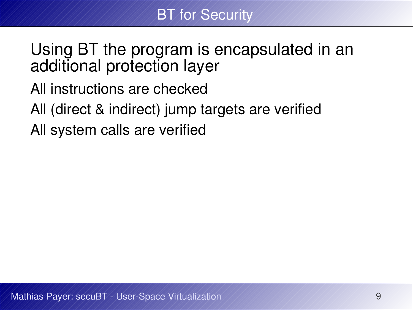## Using BT the program is encapsulated in an additional protection layer

- All instructions are checked
- All (direct & indirect) jump targets are verified
- All system calls are verified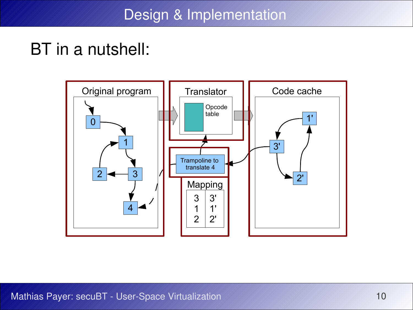## BT in a nutshell:

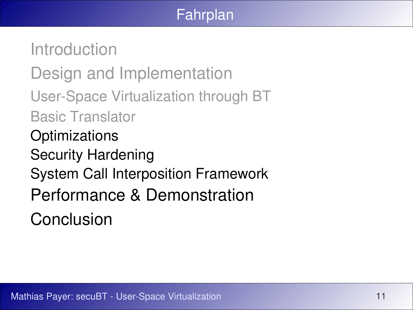### Fahrplan

Introduction Design and Implementation User-Space Virtualization through BT Basic Translator **Optimizations** Security Hardening System Call Interposition Framework Performance & Demonstration Conclusion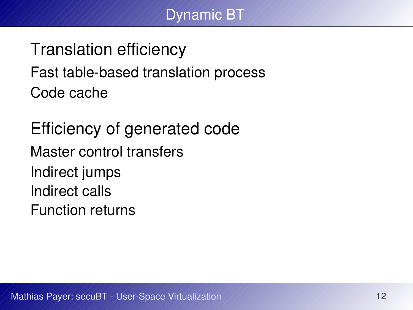#### Dynamic BT

Translation efficiency Fast table-based translation process Code cache

Efficiency of generated code Master control transfers Indirect jumps Indirect calls Function returns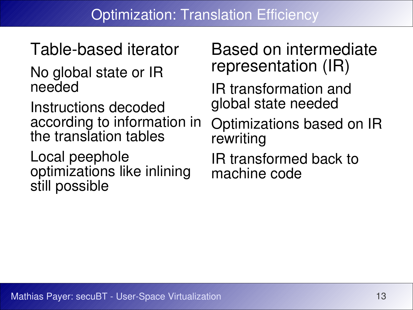Table-based iterator No global state or IR needed

Instructions decoded according to information in the translation tables

Local peephole optimizations like inlining still possible

Based on intermediate representation (IR)

IR transformation and global state needed

Optimizations based on IR rewriting

IR transformed back to machine code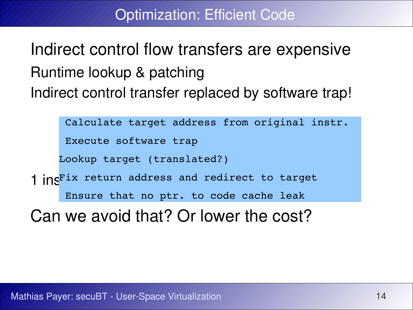Optimization: Efficient Code

Indirect control flow transfers are expensive Runtime lookup & patching Indirect control transfer replaced by software trap!

Calculate target address from original instr.

Execute software trap

Lookup target (translated?)

1 ins<sup>Fix</sup> return address and redirect to target Ensure that no ptr. to code cache leak

Can we avoid that? Or lower the cost?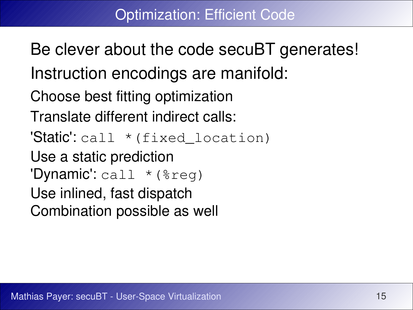Be clever about the code secuBT generates! Instruction encodings are manifold: Choose best fitting optimization Translate different indirect calls: 'Static': call \* (fixed location) Use a static prediction 'Dynamic': call \* (%reg) Use inlined, fast dispatch Combination possible as well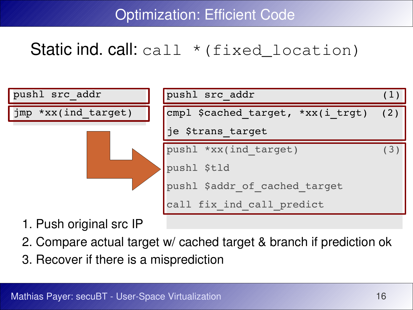Optimization: Efficient Code

## Static ind. call: call \* (fixed\_location)



- 1. Push original src IP
- 2. Compare actual target w/ cached target & branch if prediction ok
- 3. Recover if there is a misprediction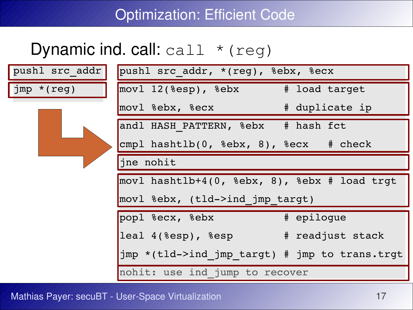### Optimization: Efficient Code

## Dynamic ind. call: call \* (reg)

| pushl src addr   | pushl src addr, *(reg), %ebx, %ecx                              |  |  |
|------------------|-----------------------------------------------------------------|--|--|
| $\lim p * (reg)$ | movl 12(%esp), %ebx # load target                               |  |  |
|                  | movl %ebx, %ecx $\qquad$ # duplicate ip                         |  |  |
|                  | andl HASH PATTERN, %ebx # hash fct                              |  |  |
|                  | $\text{cmpl}$ hashtlb(0, %ebx, 8), %ecx # check                 |  |  |
|                  | jne nohit                                                       |  |  |
|                  | movl hashtlb+4(0, $\text{ebsx}$ , 8), $\text{ebsx}$ # load trgt |  |  |
|                  | movl %ebx, (tld->ind jmp targt)                                 |  |  |
|                  | popl %ecx, %ebx # epilogue                                      |  |  |
|                  | leal 4(%esp), %esp # readjust stack                             |  |  |
|                  | jmp *(tld->ind jmp targt) # jmp to trans.trgt                   |  |  |
|                  | nohit: use ind jump to recover                                  |  |  |

Mathias Payer: secuBT - User-Space Virtualization 17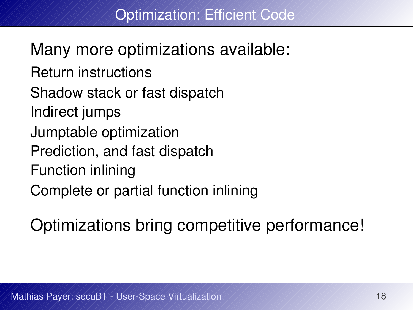Many more optimizations available: Return instructions Shadow stack or fast dispatch Indirect jumps Jumptable optimization Prediction, and fast dispatch Function inlining Complete or partial function inlining

Optimizations bring competitive performance!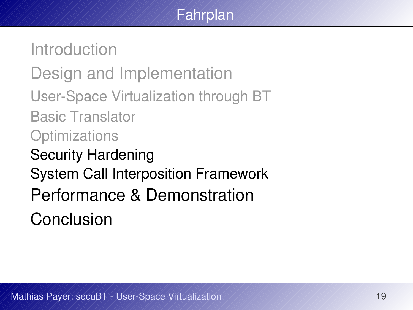### Fahrplan

Introduction Design and Implementation User-Space Virtualization through BT Basic Translator **Optimizations** Security Hardening System Call Interposition Framework Performance & Demonstration Conclusion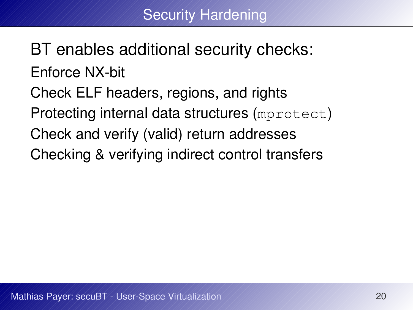BT enables additional security checks: Enforce NX-bit Check ELF headers, regions, and rights Protecting internal data structures (mprotect) Check and verify (valid) return addresses Checking & verifying indirect control transfers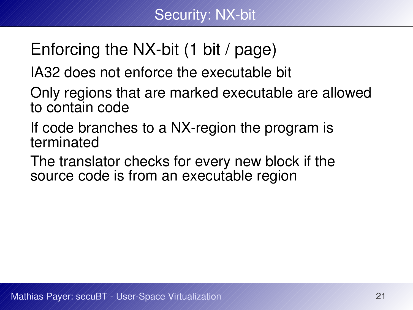# Enforcing the NX-bit (1 bit / page)

IA32 does not enforce the executable bit

Only regions that are marked executable are allowed to contain code

If code branches to a NX-region the program is terminated

The translator checks for every new block if the source code is from an executable region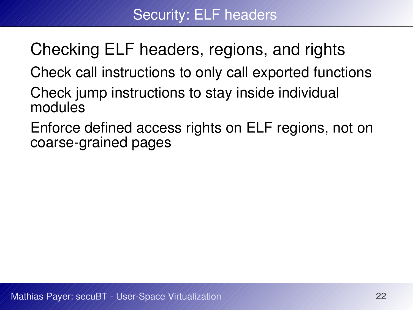Checking ELF headers, regions, and rights

Check call instructions to only call exported functions

- Check jump instructions to stay inside individual modules
- Enforce defined access rights on ELF regions, not on coarse-grained pages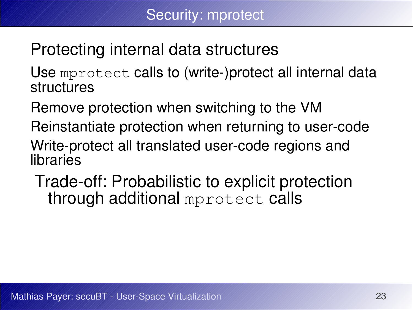# Protecting internal data structures

Use mprotect calls to (write-)protect all internal data structures

Remove protection when switching to the VM

Reinstantiate protection when returning to user-code

Write-protect all translated user-code regions and libraries

Trade-off: Probabilistic to explicit protection through additional mprotect calls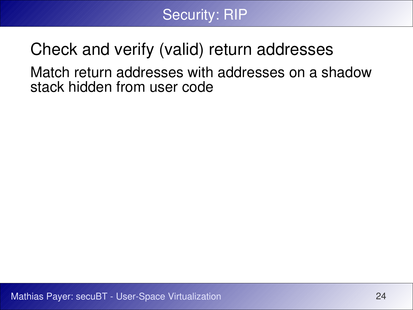

## Check and verify (valid) return addresses Match return addresses with addresses on a shadow stack hidden from user code

Mathias Payer: secuBT - User-Space Virtualization 24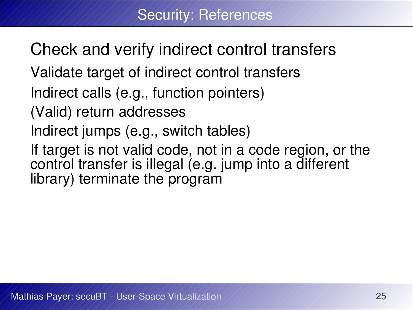Check and verify indirect control transfers Validate target of indirect control transfers Indirect calls (e.g., function pointers) (Valid) return addresses Indirect jumps (e.g., switch tables) If target is not valid code, not in a code region, or the control transfer is illegal (e.g. jump into a different library) terminate the program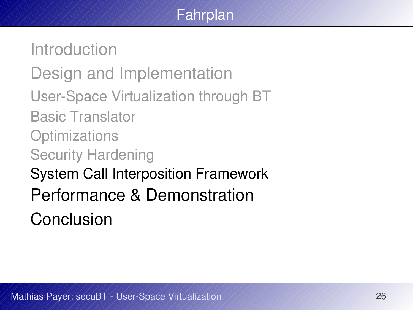### Fahrplan

Introduction Design and Implementation User-Space Virtualization through BT Basic Translator **Optimizations** Security Hardening System Call Interposition Framework Performance & Demonstration Conclusion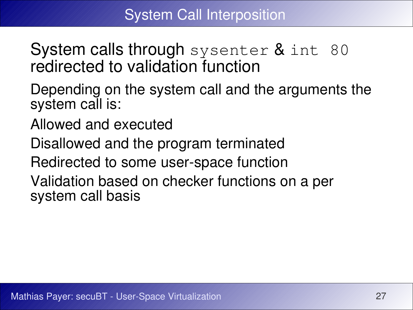## System calls through sysenter & int 80 redirected to validation function

- Depending on the system call and the arguments the system call is:
- Allowed and executed
- Disallowed and the program terminated
- Redirected to some user-space function
- Validation based on checker functions on a per system call basis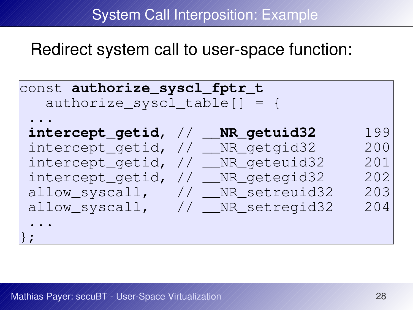System Call Interposition: Example

Redirect system call to user-space function:

```
const authorize_syscl_fptr_t
  authorize syscl table [ = {
...
intercept_getid, // __NR_getuid32 199
intercept_getid, // __NR_getgid32 200
intercept_getid, // __NR_geteuid32 201
intercept_getid, // __NR_getegid32 202
allow_syscall, // __NR_setreuid32 203
allow syscall, // NR setregid32 204
...
};
```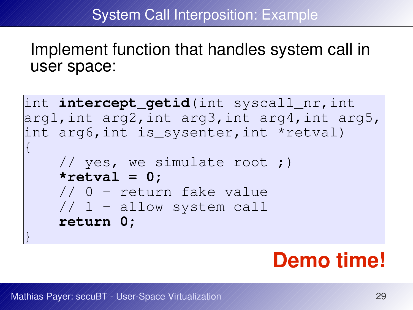#### System Call Interposition: Example

Implement function that handles system call in user space:

```
int intercept_getid(int syscall_nr,int 
arg1,int arg2,int arg3,int arg4,int arg5, 
int arg6,int is_sysenter,int *retval)
\vert // yes, we simulate root ;)
     *retval = 0;
     // 0 - return fake value
     // 1 - allow system call
     return 0;
}
```
# **Demo time!**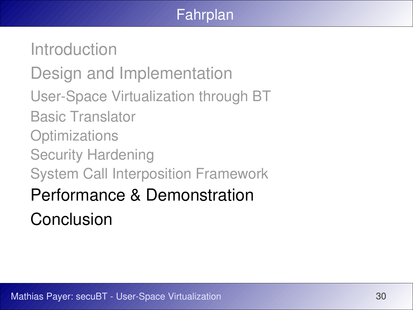### Fahrplan

Introduction Design and Implementation User-Space Virtualization through BT Basic Translator **Optimizations** Security Hardening System Call Interposition Framework Performance & Demonstration Conclusion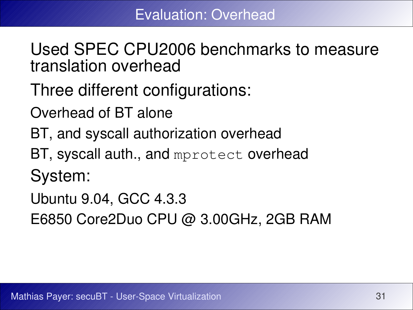Used SPEC CPU2006 benchmarks to measure translation overhead

Three different configurations:

Overhead of BT alone

- BT, and syscall authorization overhead
- BT, syscall auth., and mprotect overhead

System:

Ubuntu 9.04, GCC 4.3.3

E6850 Core2Duo CPU @ 3.00GHz, 2GB RAM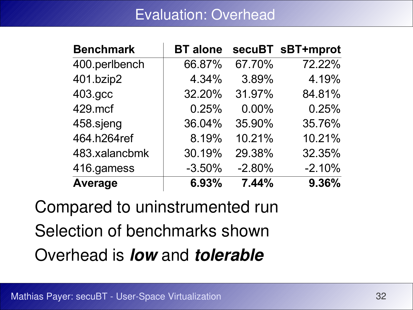#### Evaluation: Overhead

| <b>Benchmark</b> | <b>BT</b> alone |          | secuBT sBT+mprot |
|------------------|-----------------|----------|------------------|
| 400.perlbench    | 66.87%          | 67.70%   | 72.22%           |
| 401 bzip2        | 4.34%           | 3.89%    | 4.19%            |
| 403.gcc          | 32.20%          | 31.97%   | 84.81%           |
| 429.mcf          | 0.25%           | $0.00\%$ | 0.25%            |
| 458 sjeng        | 36.04%          | 35.90%   | 35.76%           |
| 464.h264ref      | 8.19%           | 10.21%   | 10.21%           |
| 483.xalancbmk    | 30.19%          | 29.38%   | 32.35%           |
| 416.gamess       | $-3.50%$        | $-2.80%$ | $-2.10%$         |
| <b>Average</b>   | 6.93%           | 7.44%    | 9.36%            |

Compared to uninstrumented run Selection of benchmarks shown Overhead is **low** and **tolerable**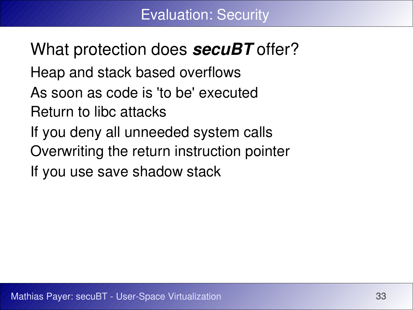What protection does **secuBT** offer? Heap and stack based overflows As soon as code is 'to be' executed Return to libc attacks If you deny all unneeded system calls Overwriting the return instruction pointer If you use save shadow stack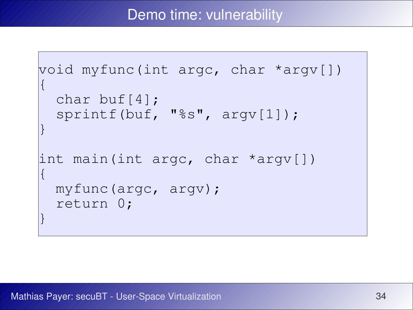#### Demo time: vulnerability

```
void myfunc(int argc, char *argv[])
\vert char buf[4];
   sprintf(buf, "%s", argv[1]);
}
int main(int argc, char *argv[])
\vert myfunc(argc, argv);
   return 0;
}
```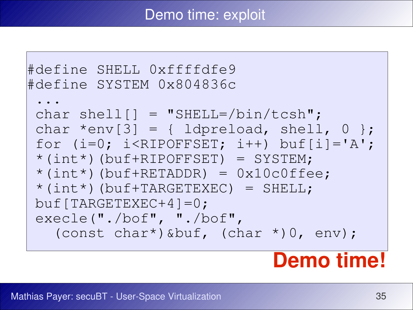#### Demo time: exploit

```
#define SHELL 0xffffdfe9
#define SYSTEM 0x804836c
 ...
 char shell[] = "SHELL=/bin/tcsh";
 char *env[3] = \{ \text{lapreload, shell, 0 } \}for (i=0; i<RIPOFFSET; i++) buf[i]='A';
 *(int*)(buf+RIPOFFSET) = SYSTEM; 
 *(int*) (buf+RETADDR) = 0x10c0ffee;*(int*) (buf+TARGETEXEC) = SHELL;
buf[TARGETEXEC+4]=0;
execle("./bof", "./bof",
    (const char*)&buf, (char *)0, env);
```
# **Demo time!**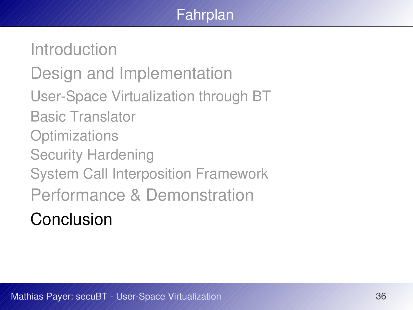### Fahrplan

Introduction Design and Implementation User-Space Virtualization through BT Basic Translator **Optimizations** Security Hardening System Call Interposition Framework Performance & Demonstration Conclusion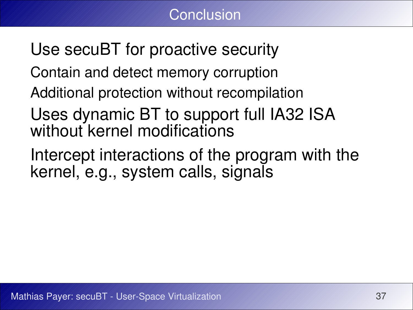Use secuBT for proactive security Contain and detect memory corruption Additional protection without recompilation Uses dynamic BT to support full IA32 ISA

- without kernel modifications
- Intercept interactions of the program with the kernel, e.g., system calls, signals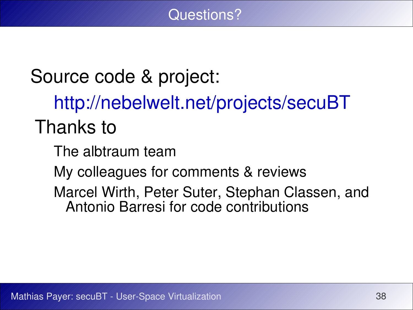Questions?

Source code & project: <http://nebelwelt.net/projects/secuBT> Thanks to The albtraum team My colleagues for comments & reviews Marcel Wirth, Peter Suter, Stephan Classen, and Antonio Barresi for code contributions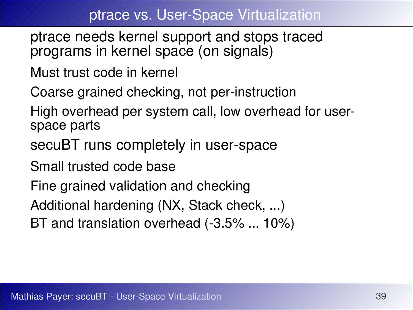#### ptrace vs. User-Space Virtualization

- ptrace needs kernel support and stops traced programs in kernel space (on signals)
- Must trust code in kernel
- Coarse grained checking, not per-instruction
- High overhead per system call, low overhead for userspace parts
- secuBT runs completely in user-space
- Small trusted code base
- Fine grained validation and checking
- Additional hardening (NX, Stack check, ...)
- BT and translation overhead (-3.5% ... 10%)